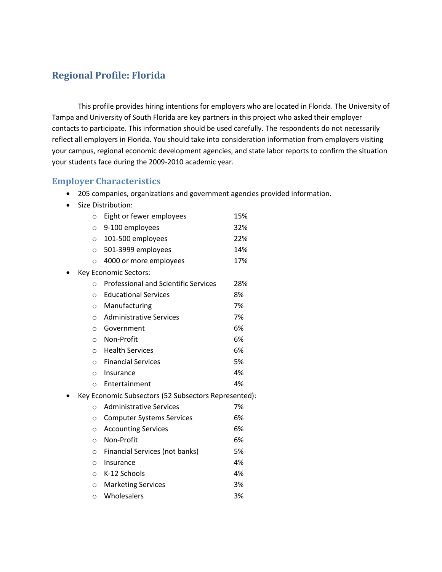### **Regional Profile: Florida**

This profile provides hiring intentions for employers who are located in Florida. The University of Tampa and University of South Florida are key partners in this project who asked their employer contacts to participate. This information should be used carefully. The respondents do not necessarily reflect all employers in Florida. You should take into consideration information from employers visiting your campus, regional economic development agencies, and state labor reports to confirm the situation your students face during the 2009-2010 academic year.

#### **Employer Characteristics**

- 205 companies, organizations and government agencies provided information.
- Size Distribution:

| $\circ$ | Eight or fewer employees                             | 15% |
|---------|------------------------------------------------------|-----|
| $\circ$ | 9-100 employees                                      | 32% |
| $\circ$ | 101-500 employees                                    | 22% |
| $\circ$ | 501-3999 employees                                   | 14% |
| $\circ$ | 4000 or more employees                               | 17% |
|         | Key Economic Sectors:                                |     |
| $\circ$ | <b>Professional and Scientific Services</b>          | 28% |
| $\circ$ | <b>Educational Services</b>                          | 8%  |
| $\circ$ | Manufacturing                                        | 7%  |
| $\circ$ | <b>Administrative Services</b>                       | 7%  |
| $\circ$ | Government                                           | 6%  |
| $\circ$ | Non-Profit                                           | 6%  |
| $\circ$ | <b>Health Services</b>                               | 6%  |
| $\circ$ | <b>Financial Services</b>                            | 5%  |
| $\circ$ | Insurance                                            | 4%  |
| $\circ$ | Entertainment                                        | 4%  |
|         | Key Economic Subsectors (52 Subsectors Represented): |     |
| $\circ$ | <b>Administrative Services</b>                       | 7%  |
| $\circ$ | <b>Computer Systems Services</b>                     | 6%  |
| $\circ$ | <b>Accounting Services</b>                           | 6%  |
| $\circ$ | Non-Profit                                           | 6%  |
| $\circ$ | Financial Services (not banks)                       | 5%  |
| $\circ$ | Insurance                                            | 4%  |
| $\circ$ | K-12 Schools                                         | 4%  |
| $\circ$ | <b>Marketing Services</b>                            | 3%  |
| $\circ$ | Wholesalers                                          | 3%  |
|         |                                                      |     |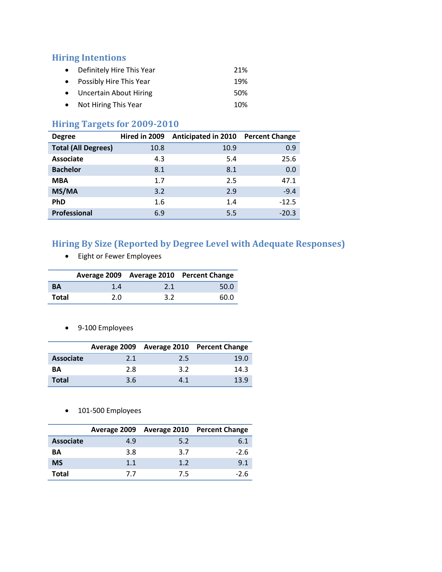#### **Hiring Intentions**

- Definitely Hire This Year 21% • Possibly Hire This Year 19% • Uncertain About Hiring 50%
- Not Hiring This Year 10%

### **Hiring Targets for 2009-2010**

| <b>Degree</b>              | Hired in 2009 | Anticipated in 2010 Percent Change |         |
|----------------------------|---------------|------------------------------------|---------|
| <b>Total (All Degrees)</b> | 10.8          | 10.9                               | 0.9     |
| <b>Associate</b>           | 4.3           | 5.4                                | 25.6    |
| <b>Bachelor</b>            | 8.1           | 8.1                                | 0.0     |
| <b>MBA</b>                 | 1.7           | 2.5                                | 47.1    |
| MS/MA                      | 3.2           | 2.9                                | $-9.4$  |
| <b>PhD</b>                 | 1.6           | 1.4                                | $-12.5$ |
| <b>Professional</b>        | 6.9           | 5.5                                | $-20.3$ |

## **Hiring By Size (Reported by Degree Level with Adequate Responses)**

Eight or Fewer Employees

|           |     |     | Average 2009 Average 2010 Percent Change |
|-----------|-----|-----|------------------------------------------|
| <b>BA</b> | 1.4 | 2.1 | 50.0                                     |
| Total     | 2.0 | 3.2 | 60.0                                     |

9-100 Employees

|                  |     |     | Average 2009 Average 2010 Percent Change |
|------------------|-----|-----|------------------------------------------|
| <b>Associate</b> | 2.1 | 2.5 | 19.0                                     |
| <b>BA</b>        | 2.8 | 3.2 | 14.3                                     |
| <b>Total</b>     | 3.6 | 4.1 | 13.9                                     |

• 101-500 Employees

|                  |     |     | Average 2009 Average 2010 Percent Change |
|------------------|-----|-----|------------------------------------------|
| <b>Associate</b> | 4.9 | 5.2 | 6.1                                      |
| ΒA               | 3.8 | 3.7 | $-2.6$                                   |
| <b>MS</b>        | 1.1 | 1.2 | 9.1                                      |
| Total            | 77  | 7.5 | -2.6                                     |